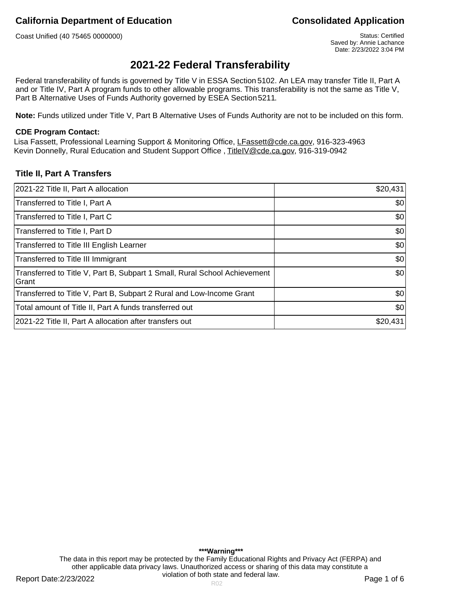Coast Unified (40 75465 0000000) Coast Unified (40 75465 0000000)

# **2021-22 Federal Transferability**

Federal transferability of funds is governed by Title V in ESSA Section 5102. An LEA may transfer Title II, Part A and or Title IV, Part A program funds to other allowable programs. This transferability is not the same as Title V, Part B Alternative Uses of Funds Authority governed by ESEA Section 5211.

**Note:** Funds utilized under Title V, Part B Alternative Uses of Funds Authority are not to be included on this form.

### **CDE Program Contact:**

Lisa Fassett, Professional Learning Support & Monitoring Office, LFassett@cde.ca.gov, 916-323-4963 Kevin Donnelly, Rural Education and Student Support Office, TitleIV@cde.ca.gov, 916-319-0942

### **Title II, Part A Transfers**

| 2021-22 Title II, Part A allocation                                                 | \$20,431 |
|-------------------------------------------------------------------------------------|----------|
| Transferred to Title I, Part A                                                      | \$0      |
| Transferred to Title I, Part C                                                      | \$0      |
| Transferred to Title I, Part D                                                      | \$0      |
| Transferred to Title III English Learner                                            | \$0      |
| Transferred to Title III Immigrant                                                  | \$0      |
| Transferred to Title V, Part B, Subpart 1 Small, Rural School Achievement<br>lGrant | \$0      |
| Transferred to Title V, Part B, Subpart 2 Rural and Low-Income Grant                | \$0      |
| Total amount of Title II, Part A funds transferred out                              | \$0      |
| 2021-22 Title II, Part A allocation after transfers out                             | \$20,431 |

**\*\*\*Warning\*\*\*** The data in this report may be protected by the Family Educational Rights and Privacy Act (FERPA) and other applicable data privacy laws. Unauthorized access or sharing of this data may constitute a violation of both state and federal law.

Report Date:2/23/2022 **Page 1 of 6** Report Date:2/23/2022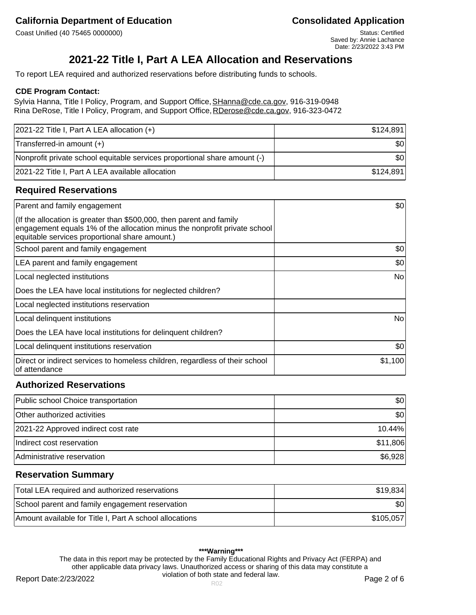## **California Department of Education California Department of Education**

Coast Unified (40 75465 0000000) Coast Unified (40 75465 0000000)

Saved by: Annie Lachance Date: 2/23/2022 3:43 PM

# **2021-22 Title I, Part A LEA Allocation and Reservations**

To report LEA required and authorized reservations before distributing funds to schools.

### **CDE Program Contact:**

Sylvia Hanna, Title I Policy, Program, and Support Office, SHanna@cde.ca.gov, 916-319-0948 Rina DeRose, Title I Policy, Program, and Support Office, RDerose@cde.ca.gov, 916-323-0472

| $ 2021-22$ Title I, Part A LEA allocation $(+)$                           | \$124,891 |
|---------------------------------------------------------------------------|-----------|
| Transferred-in amount (+)                                                 | \$0       |
| Nonprofit private school equitable services proportional share amount (-) | \$0       |
| 2021-22 Title I, Part A LEA available allocation                          | \$124.891 |

### **Required Reservations**

| Parent and family engagement                                                                                                                                                                        | \$0     |
|-----------------------------------------------------------------------------------------------------------------------------------------------------------------------------------------------------|---------|
| (If the allocation is greater than \$500,000, then parent and family<br>engagement equals 1% of the allocation minus the nonprofit private school<br>equitable services proportional share amount.) |         |
| School parent and family engagement                                                                                                                                                                 | \$0     |
| LEA parent and family engagement                                                                                                                                                                    | \$0     |
| Local neglected institutions                                                                                                                                                                        | No      |
| Does the LEA have local institutions for neglected children?                                                                                                                                        |         |
| Local neglected institutions reservation                                                                                                                                                            |         |
| Local delinquent institutions                                                                                                                                                                       | No      |
| Does the LEA have local institutions for delinquent children?                                                                                                                                       |         |
| Local delinquent institutions reservation                                                                                                                                                           | \$0     |
| Direct or indirect services to homeless children, regardless of their school<br>of attendance                                                                                                       | \$1,100 |

## **Authorized Reservations**

| Public school Choice transportation | \$01      |
|-------------------------------------|-----------|
| Other authorized activities         | \$01      |
| 2021-22 Approved indirect cost rate | $10.44\%$ |
| Indirect cost reservation           | \$11,806  |
| Administrative reservation          | \$6,928   |

## **Reservation Summary**

| Total LEA required and authorized reservations          | \$19.834  |
|---------------------------------------------------------|-----------|
| School parent and family engagement reservation         | \$0       |
| Amount available for Title I, Part A school allocations | \$105.057 |

### **\*\*\*Warning\*\*\***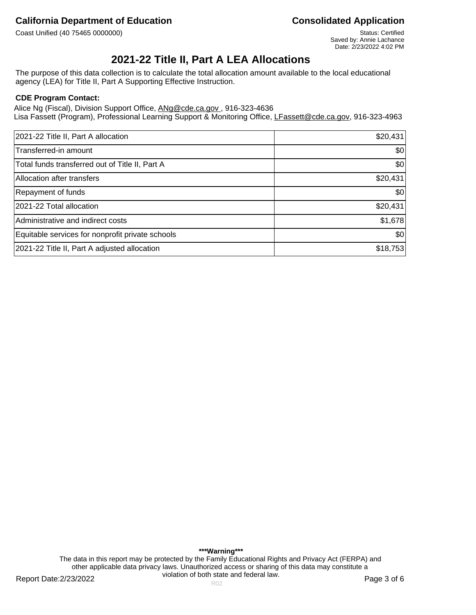Coast Unified (40 75465 0000000) Status: Certified (40 75465 0000000)

Saved by: Annie Lachance Date: 2/23/2022 4:02 PM

# **2021-22 Title II, Part A LEA Allocations**

The purpose of this data collection is to calculate the total allocation amount available to the local educational agency (LEA) for Title II, Part A Supporting Effective Instruction.

### **CDE Program Contact:**

Alice Ng (Fiscal), Division Support Office, ANg@cde.ca.gov., 916-323-4636 Lisa Fassett (Program), Professional Learning Support & Monitoring Office, LFassett@cde.ca.gov, 916-323-4963

| 2021-22 Title II, Part A allocation              | \$20,431 |
|--------------------------------------------------|----------|
| Transferred-in amount                            | \$0      |
| Total funds transferred out of Title II, Part A  | \$0      |
| Allocation after transfers                       | \$20,431 |
| Repayment of funds                               | \$0      |
| 2021-22 Total allocation                         | \$20,431 |
| Administrative and indirect costs                | \$1,678  |
| Equitable services for nonprofit private schools | \$0      |
| 2021-22 Title II, Part A adjusted allocation     | \$18,753 |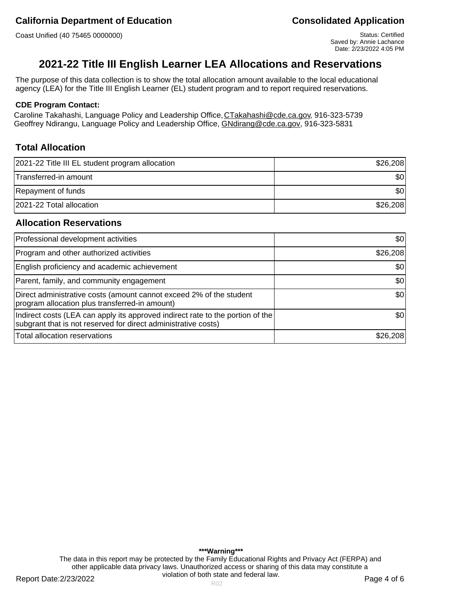Coast Unified (40 75465 0000000) Coast Unified (40 75465 0000000)

# **2021-22 Title III English Learner LEA Allocations and Reservations**

The purpose of this data collection is to show the total allocation amount available to the local educational agency (LEA) for the Title III English Learner (EL) student program and to report required reservations.

### **CDE Program Contact:**

Caroline Takahashi, Language Policy and Leadership Office, CTakahashi@cde.ca.gov, 916-323-5739 Geoffrey Ndirangu, Language Policy and Leadership Office, GNdirang@cde.ca.gov, 916-323-5831

## **Total Allocation**

| 2021-22 Title III EL student program allocation | \$26,208  |
|-------------------------------------------------|-----------|
| Transferred-in amount                           | \$0       |
| Repayment of funds                              | <b>SO</b> |
| 2021-22 Total allocation                        | \$26,208  |

## **Allocation Reservations**

| Professional development activities                                                                                                              | \$0      |
|--------------------------------------------------------------------------------------------------------------------------------------------------|----------|
| Program and other authorized activities                                                                                                          | \$26,208 |
| English proficiency and academic achievement                                                                                                     | \$0      |
| Parent, family, and community engagement                                                                                                         | \$0      |
| Direct administrative costs (amount cannot exceed 2% of the student<br>program allocation plus transferred-in amount)                            | \$0      |
| Indirect costs (LEA can apply its approved indirect rate to the portion of the<br>subgrant that is not reserved for direct administrative costs) | 30       |
| Total allocation reservations                                                                                                                    | \$26,208 |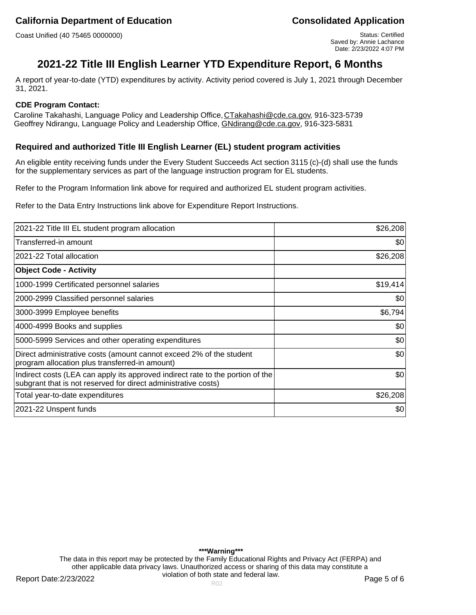Coast Unified (40 75465 0000000) Coast Unified (40 75465 0000000)

# **2021-22 Title III English Learner YTD Expenditure Report, 6 Months**

A report of year-to-date (YTD) expenditures by activity. Activity period covered is July 1, 2021 through December 31, 2021.

### **CDE Program Contact:**

Caroline Takahashi, Language Policy and Leadership Office, CTakahashi@cde.ca.gov, 916-323-5739 Geoffrey Ndirangu, Language Policy and Leadership Office, GNdirang@cde.ca.gov, 916-323-5831

## **Required and authorized Title III English Learner (EL) student program activities**

An eligible entity receiving funds under the Every Student Succeeds Act section 3115 (c)-(d) shall use the funds for the supplementary services as part of the language instruction program for EL students.

Refer to the Program Information link above for required and authorized EL student program activities.

Refer to the Data Entry Instructions link above for Expenditure Report Instructions.

| 2021-22 Title III EL student program allocation                                                                                                  | \$26,208 |
|--------------------------------------------------------------------------------------------------------------------------------------------------|----------|
| Transferred-in amount                                                                                                                            | \$0      |
| 2021-22 Total allocation                                                                                                                         | \$26,208 |
| <b>Object Code - Activity</b>                                                                                                                    |          |
| 1000-1999 Certificated personnel salaries                                                                                                        | \$19,414 |
| 2000-2999 Classified personnel salaries                                                                                                          | \$0      |
| 3000-3999 Employee benefits                                                                                                                      | \$6,794  |
| 4000-4999 Books and supplies                                                                                                                     | \$0      |
| 5000-5999 Services and other operating expenditures                                                                                              | \$0      |
| Direct administrative costs (amount cannot exceed 2% of the student<br>program allocation plus transferred-in amount)                            | \$0      |
| Indirect costs (LEA can apply its approved indirect rate to the portion of the<br>subgrant that is not reserved for direct administrative costs) | \$0      |
| Total year-to-date expenditures                                                                                                                  | \$26,208 |
| 2021-22 Unspent funds                                                                                                                            | \$0      |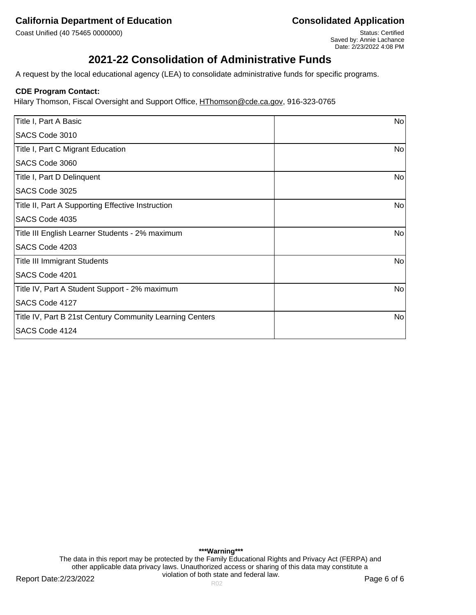Coast Unified (40 75465 0000000) Status: Certified (40 75465 0000000)

Saved by: Annie Lachance Date: 2/23/2022 4:08 PM

# **2021-22 Consolidation of Administrative Funds**

A request by the local educational agency (LEA) to consolidate administrative funds for specific programs.

### **CDE Program Contact:**

Hilary Thomson, Fiscal Oversight and Support Office, HThomson@cde.ca.gov, 916-323-0765

| Title I, Part A Basic                                    | No |
|----------------------------------------------------------|----|
| SACS Code 3010                                           |    |
| Title I, Part C Migrant Education                        | No |
| SACS Code 3060                                           |    |
| Title I, Part D Delinquent                               | No |
| SACS Code 3025                                           |    |
| Title II, Part A Supporting Effective Instruction        | No |
| SACS Code 4035                                           |    |
| Title III English Learner Students - 2% maximum          | No |
| SACS Code 4203                                           |    |
| <b>Title III Immigrant Students</b>                      | No |
| SACS Code 4201                                           |    |
| Title IV, Part A Student Support - 2% maximum            | No |
| SACS Code 4127                                           |    |
| Title IV, Part B 21st Century Community Learning Centers | No |
| SACS Code 4124                                           |    |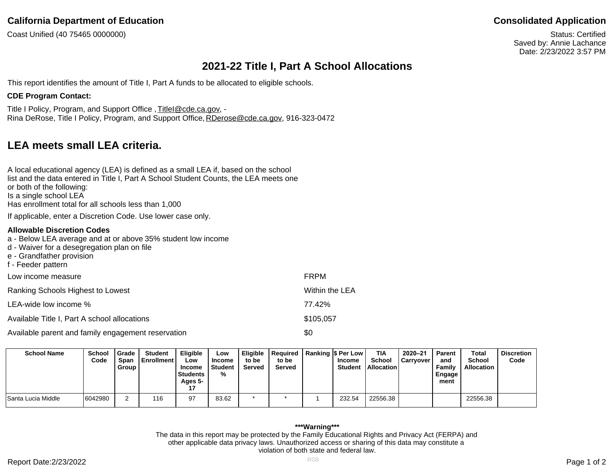Coast Unified (40 75465 0000000)

Status: Certified Saved by: Annie Lachance Date: 2/23/2022 3:57 PM

# **2021-22 Title I, Part A School Allocations**

This report identifies the amount of Title I, Part A funds to be allocated to eligible schools.

### **CDE Program Contact:**

Title I Policy, Program, and Support Office , TitleI@cde.ca.gov, - Rina DeRose, Title I Policy, Program, and Support Office, RDerose@cde.ca.gov, 916-323-0472

# **LEA meets small LEA criteria.**

| A local educational agency (LEA) is defined as a small LEA if, based on the school<br>list and the data entered in Title I, Part A School Student Counts, the LEA meets one<br>or both of the following:<br>Is a single school LEA |
|------------------------------------------------------------------------------------------------------------------------------------------------------------------------------------------------------------------------------------|
| Has enrollment total for all schools less than 1,000<br>If applicable, enter a Discretion Code. Use lower case only.                                                                                                               |
| Allowable Discretion Codes                                                                                                                                                                                                         |

## a - Below LEA average and at or above 35% student low income

- d Waiver for a desegregation plan on file
- e Grandfather provision
- f Feeder pattern

| Low income measure                                 | <b>FRPM</b>    |
|----------------------------------------------------|----------------|
| Ranking Schools Highest to Lowest                  | Within the LEA |
| LEA-wide low income %                              | 77.42%         |
| Available Title I, Part A school allocations       | \$105,057      |
| Available parent and family engagement reservation | \$0            |

**School Name School Code Grade Span Group Student Enrollment Eligible Low Income Students Ages 5- 17 Low Income Student % Eligible to be Served Required to be Served Ranking \$ Per Low Income Student TIA School Allocation 2020–21 Carryover Parent and Family Engage ment Total School Allocation Discretion Code** Santa Lucia Middle 6042980 2 116 97 83.62 \* \* 1 232.54 22556.38 22556.38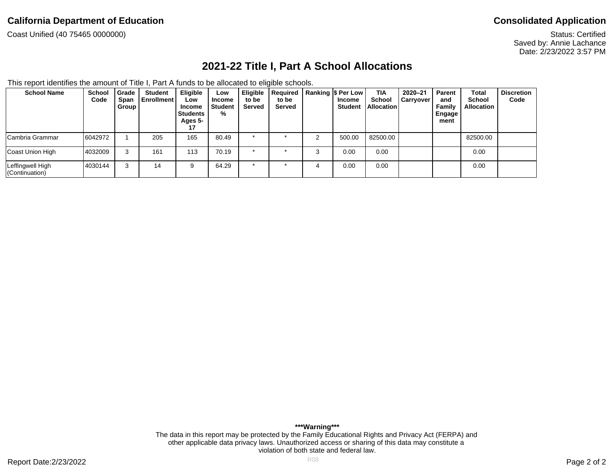Coast Unified (40 75465 0000000)

Status: Certified Saved by: Annie Lachance Date: 2/23/2022 3:57 PM

# **2021-22 Title I, Part A School Allocations**

This report identifies the amount of Title I, Part A funds to be allocated to eligible schools.

| <b>School Name</b>                 | School<br>Code | Grade<br>Span<br>Group | <b>Student</b><br>l Enrollment l | <b>Eligible</b><br>Low<br>Income<br><b>Students</b><br>Ages 5-<br>17 | Low<br>Income<br>Student<br>% | Eligible<br>to be<br>Served | Required<br>to be<br>Served |   | Ranking S Per Low<br>Income<br><b>Student</b> | <b>TIA</b><br><b>School</b><br>l Allocation I | $2020 - 21$<br><b>Carryover</b> | Parent<br>and<br>Family<br>Engage<br>ment | <b>Total</b><br><b>School</b><br><b>Allocation</b> | <b>Discretion</b><br>Code |
|------------------------------------|----------------|------------------------|----------------------------------|----------------------------------------------------------------------|-------------------------------|-----------------------------|-----------------------------|---|-----------------------------------------------|-----------------------------------------------|---------------------------------|-------------------------------------------|----------------------------------------------------|---------------------------|
| Cambria Grammar                    | 6042972        |                        | 205                              | 165                                                                  | 80.49                         |                             |                             | ⌒ | 500.00                                        | 82500.00                                      |                                 |                                           | 82500.00                                           |                           |
| Coast Union High                   | 4032009        | 3                      | 161                              | 113                                                                  | 70.19                         |                             |                             | ⌒ | 0.00                                          | 0.00                                          |                                 |                                           | 0.00                                               |                           |
| Leffingwell High<br>(Continuation) | 4030144        | 3                      | 14                               |                                                                      | 64.29                         |                             |                             | 4 | 0.00                                          | 0.00                                          |                                 |                                           | 0.00                                               |                           |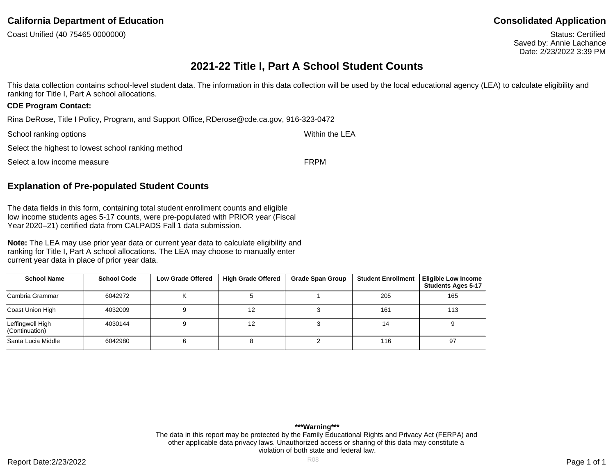Coast Unified (40 75465 0000000)

Status: Certified Saved by: Annie Lachance Date: 2/23/2022 3:39 PM

# **2021-22 Title I, Part A School Student Counts**

This data collection contains school-level student data. The information in this data collection will be used by the local educational agency (LEA) to calculate eligibility and ranking for Title I, Part A school allocations.

### **CDE Program Contact:**

Rina DeRose, Title I Policy, Program, and Support Office, RDerose@cde.ca.gov, 916-323-0472

| School ranking options                             | Within the LEA |
|----------------------------------------------------|----------------|
| Select the highest to lowest school ranking method |                |
| Select a low income measure                        | <b>FRPM</b>    |

## **Explanation of Pre-populated Student Counts**

The data fields in this form, containing total student enrollment counts and eligible low income students ages 5-17 counts, were pre-populated with PRIOR year (Fiscal Year 2020–21) certified data from CALPADS Fall 1 data submission.

**Note:** The LEA may use prior year data or current year data to calculate eligibility and ranking for Title I, Part A school allocations. The LEA may choose to manually enter current year data in place of prior year data.

| <b>School Name</b>                 | <b>School Code</b> | <b>Low Grade Offered</b> | <b>High Grade Offered</b> | <b>Grade Span Group</b> | <b>Student Enrollment</b> | <b>Eligible Low Income</b><br><b>Students Ages 5-17</b> |
|------------------------------------|--------------------|--------------------------|---------------------------|-------------------------|---------------------------|---------------------------------------------------------|
| Cambria Grammar                    | 6042972            |                          |                           |                         | 205                       | 165                                                     |
| Coast Union High                   | 4032009            |                          | 12                        |                         | 161                       | 113                                                     |
| Leffingwell High<br>(Continuation) | 4030144            |                          | 12                        |                         | 14                        |                                                         |
| <b>Santa Lucia Middle</b>          | 6042980            |                          |                           |                         | 116                       | 97                                                      |